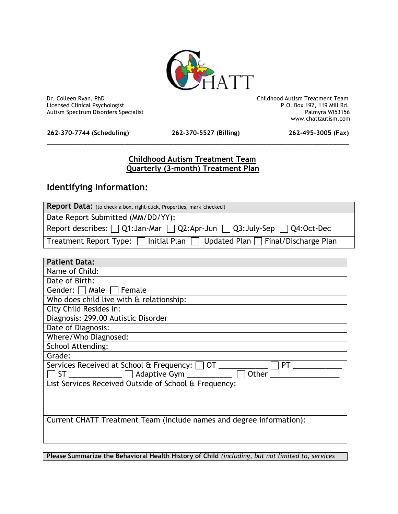

Dr. Colleen Ryan, PhD Childhood Autism Treatment Team Licensed Clinical Psychologist **Properties and Clinical Psychologist** P.O. Box 192, 119 Mill Rd.<br>Autism Spectrum Disorders Specialist **Palmyra** WI53156 Autism Spectrum Disorders Specialist

**262-370-7744 (Scheduling) 262-370-5527 (Billing) 262-495-3005 (Fax)**

\_\_\_\_\_\_\_\_\_\_\_\_\_\_\_\_\_\_\_\_\_\_\_\_\_\_\_\_\_\_\_\_\_\_\_\_\_\_\_\_\_\_\_\_\_\_\_\_\_\_\_\_\_\_\_\_\_\_\_\_\_\_\_\_\_\_\_\_\_\_\_\_\_\_

www.chattautism.com

## **Childhood Autism Treatment Team Quarterly (3-month) Treatment Plan**

## **Identifying Information:**

| Report Data: (to check a box, right-click, Properties, mark 'checked')                     |
|--------------------------------------------------------------------------------------------|
| Date Report Submitted (MM/DD/YY):                                                          |
| Report describes: $\Box$ Q1:Jan-Mar $\Box$ Q2:Apr-Jun $\Box$ Q3:July-Sep $\Box$ Q4:Oct-Dec |
| Treatment Report Type: $\Box$ Initial Plan $\Box$ Updated Plan $\Box$ Final/Discharge Plan |

| <b>Patient Data:</b>                                                    |
|-------------------------------------------------------------------------|
| Name of Child:                                                          |
| Date of Birth:                                                          |
| Gender: $\Box$ Male $\Box$<br>Female                                    |
| Who does child live with & relationship:                                |
| City Child Resides in:                                                  |
| Diagnosis: 299.00 Autistic Disorder                                     |
| Date of Diagnosis:                                                      |
| Where/Who Diagnosed:                                                    |
| <b>School Attending:</b>                                                |
| Grade:                                                                  |
| Services Received at School $\alpha$ Frequency: $\Box$ OT _______<br>PT |
| Other<br><b>ST</b><br>Adaptive Gym ___________                          |
| List Services Received Outside of School & Frequency:                   |
|                                                                         |
|                                                                         |
|                                                                         |
| Current CHATT Treatment Team (include names and degree information):    |
|                                                                         |
|                                                                         |

**Please Summarize the Behavioral Health History of Child** *(including, but not limited to, services*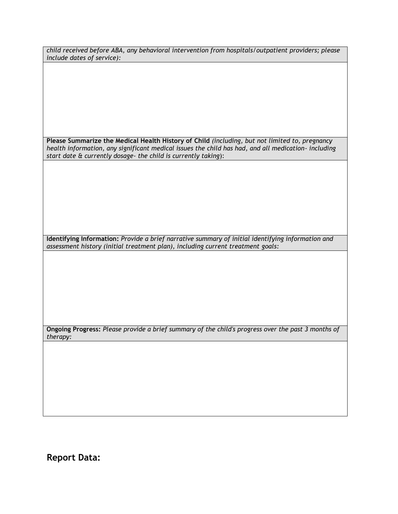*child received before ABA, any behavioral intervention from hospitals/outpatient providers; please include dates of service):*

**Please Summarize the Medical Health History of Child** *(including, but not limited to, pregnancy health information, any significant medical issues the child has had, and all medication- including start date & currently dosage- the child is currently taking*):

**Identifying Information:** *Provide a brief narrative summary of initial identifying information and assessment history (initial treatment plan), including current treatment goals:*

**Ongoing Progress:** *Please provide a brief summary of the child's progress over the past 3 months of therapy:*

**Report Data:**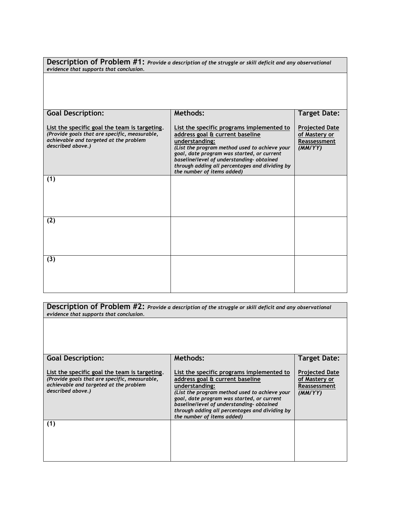| evidence that supports that conclusion.                                                                                                                       | Description of Problem #1: Provide a description of the struggle or skill deficit and any observational                                                                                                                                                                                                                   |                                                                   |
|---------------------------------------------------------------------------------------------------------------------------------------------------------------|---------------------------------------------------------------------------------------------------------------------------------------------------------------------------------------------------------------------------------------------------------------------------------------------------------------------------|-------------------------------------------------------------------|
|                                                                                                                                                               |                                                                                                                                                                                                                                                                                                                           |                                                                   |
| <b>Goal Description:</b>                                                                                                                                      | <b>Methods:</b>                                                                                                                                                                                                                                                                                                           | <b>Target Date:</b>                                               |
| List the specific goal the team is targeting.<br>(Provide goals that are specific, measurable,<br>achievable and targeted at the problem<br>described above.) | List the specific programs implemented to<br>address goal & current baseline<br>understanding:<br>(List the program method used to achieve your<br>goal, date program was started, or current<br>baseline/level of understanding-obtained<br>through adding all percentages and dividing by<br>the number of items added) | <b>Projected Date</b><br>of Mastery or<br>Reassessment<br>(MM/YY) |
| (1)                                                                                                                                                           |                                                                                                                                                                                                                                                                                                                           |                                                                   |
|                                                                                                                                                               |                                                                                                                                                                                                                                                                                                                           |                                                                   |
| (2)                                                                                                                                                           |                                                                                                                                                                                                                                                                                                                           |                                                                   |
|                                                                                                                                                               |                                                                                                                                                                                                                                                                                                                           |                                                                   |
| (3)                                                                                                                                                           |                                                                                                                                                                                                                                                                                                                           |                                                                   |
|                                                                                                                                                               |                                                                                                                                                                                                                                                                                                                           |                                                                   |
|                                                                                                                                                               |                                                                                                                                                                                                                                                                                                                           |                                                                   |

**Description of Problem #2:** *Provide a description of the struggle or skill deficit and any observational evidence that supports that conclusion.*

| <b>Goal Description:</b>                                                                                                                                      | Methods:                                                                                                                                                                                                                                                                                                                  | <b>Target Date:</b>                                               |
|---------------------------------------------------------------------------------------------------------------------------------------------------------------|---------------------------------------------------------------------------------------------------------------------------------------------------------------------------------------------------------------------------------------------------------------------------------------------------------------------------|-------------------------------------------------------------------|
| List the specific goal the team is targeting.<br>(Provide goals that are specific, measurable,<br>achievable and targeted at the problem<br>described above.) | List the specific programs implemented to<br>address goal & current baseline<br>understanding:<br>(List the program method used to achieve your<br>goal, date program was started, or current<br>baseline/level of understanding-obtained<br>through adding all percentages and dividing by<br>the number of items added) | <b>Projected Date</b><br>of Mastery or<br>Reassessment<br>(MM/YY) |
| (1)                                                                                                                                                           |                                                                                                                                                                                                                                                                                                                           |                                                                   |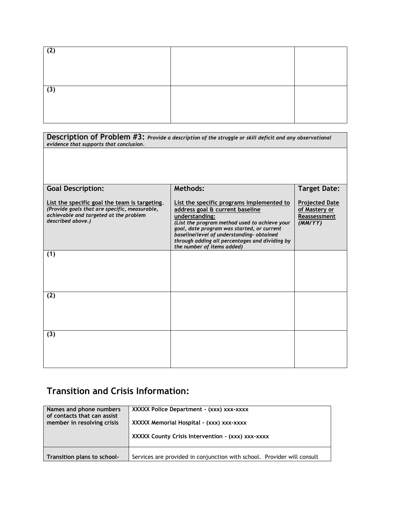| (2) |  |
|-----|--|
|     |  |
|     |  |
| (3) |  |
|     |  |
|     |  |
|     |  |

| evidence that supports that conclusion.                                                                                                                       | Description of Problem #3: Provide a description of the struggle or skill deficit and any observational                                                                                                                                                                                                                   |                                                                   |
|---------------------------------------------------------------------------------------------------------------------------------------------------------------|---------------------------------------------------------------------------------------------------------------------------------------------------------------------------------------------------------------------------------------------------------------------------------------------------------------------------|-------------------------------------------------------------------|
|                                                                                                                                                               |                                                                                                                                                                                                                                                                                                                           |                                                                   |
| <b>Goal Description:</b>                                                                                                                                      | <b>Methods:</b>                                                                                                                                                                                                                                                                                                           | <b>Target Date:</b>                                               |
| List the specific goal the team is targeting.<br>(Provide goals that are specific, measurable,<br>achievable and targeted at the problem<br>described above.) | List the specific programs implemented to<br>address goal & current baseline<br>understanding:<br>(List the program method used to achieve your<br>goal, date program was started, or current<br>baseline/level of understanding-obtained<br>through adding all percentages and dividing by<br>the number of items added) | <b>Projected Date</b><br>of Mastery or<br>Reassessment<br>(MMYYY) |
| (1)                                                                                                                                                           |                                                                                                                                                                                                                                                                                                                           |                                                                   |
| (2)                                                                                                                                                           |                                                                                                                                                                                                                                                                                                                           |                                                                   |
| (3)                                                                                                                                                           |                                                                                                                                                                                                                                                                                                                           |                                                                   |

## **Transition and Crisis Information:**

| Names and phone numbers     | XXXXX Police Department - (xxx) xxx-xxxx                                |
|-----------------------------|-------------------------------------------------------------------------|
| of contacts that can assist | XXXXX Memorial Hospital - (xxx) xxx-xxxx                                |
| member in resolving crisis  | XXXXX County Crisis Intervention - (xxx) xxx-xxxx                       |
| Transition plans to school- | Services are provided in conjunction with school. Provider will consult |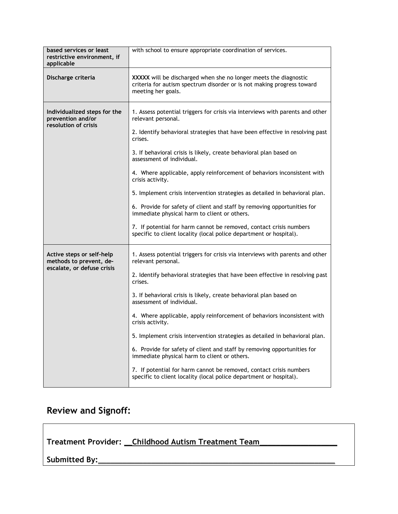| based services or least<br>restrictive environment, if<br>applicable      | with school to ensure appropriate coordination of services.                                                                                                                                    |
|---------------------------------------------------------------------------|------------------------------------------------------------------------------------------------------------------------------------------------------------------------------------------------|
| Discharge criteria                                                        | XXXXX will be discharged when she no longer meets the diagnostic<br>criteria for autism spectrum disorder or is not making progress toward<br>meeting her goals.                               |
| Individualized steps for the<br>prevention and/or<br>resolution of crisis | 1. Assess potential triggers for crisis via interviews with parents and other<br>relevant personal.<br>2. Identify behavioral strategies that have been effective in resolving past<br>crises. |
|                                                                           | 3. If behavioral crisis is likely, create behavioral plan based on<br>assessment of individual.                                                                                                |
|                                                                           | 4. Where applicable, apply reinforcement of behaviors inconsistent with<br>crisis activity.                                                                                                    |
|                                                                           | 5. Implement crisis intervention strategies as detailed in behavioral plan.                                                                                                                    |
|                                                                           | 6. Provide for safety of client and staff by removing opportunities for<br>immediate physical harm to client or others.                                                                        |
|                                                                           | 7. If potential for harm cannot be removed, contact crisis numbers<br>specific to client locality (local police department or hospital).                                                       |
| Active steps or self-help<br>methods to prevent, de-                      | 1. Assess potential triggers for crisis via interviews with parents and other<br>relevant personal.                                                                                            |
| escalate, or defuse crisis                                                | 2. Identify behavioral strategies that have been effective in resolving past<br>crises.                                                                                                        |
|                                                                           | 3. If behavioral crisis is likely, create behavioral plan based on<br>assessment of individual.                                                                                                |
|                                                                           | 4. Where applicable, apply reinforcement of behaviors inconsistent with<br>crisis activity.                                                                                                    |
|                                                                           | 5. Implement crisis intervention strategies as detailed in behavioral plan.                                                                                                                    |
|                                                                           | 6. Provide for safety of client and staff by removing opportunities for<br>immediate physical harm to client or others.                                                                        |
|                                                                           | 7. If potential for harm cannot be removed, contact crisis numbers<br>specific to client locality (local police department or hospital).                                                       |

## **Review and Signoff:**

|  | Treatment Provider: Childhood Autism Treatment Team |
|--|-----------------------------------------------------|
|--|-----------------------------------------------------|

**Submitted By:**\_\_\_\_\_\_\_\_\_\_\_\_\_\_\_\_\_\_\_\_\_\_\_\_\_\_\_\_\_\_\_\_\_\_\_\_\_\_\_\_\_\_\_\_\_\_\_\_\_\_\_\_\_\_\_\_\_\_